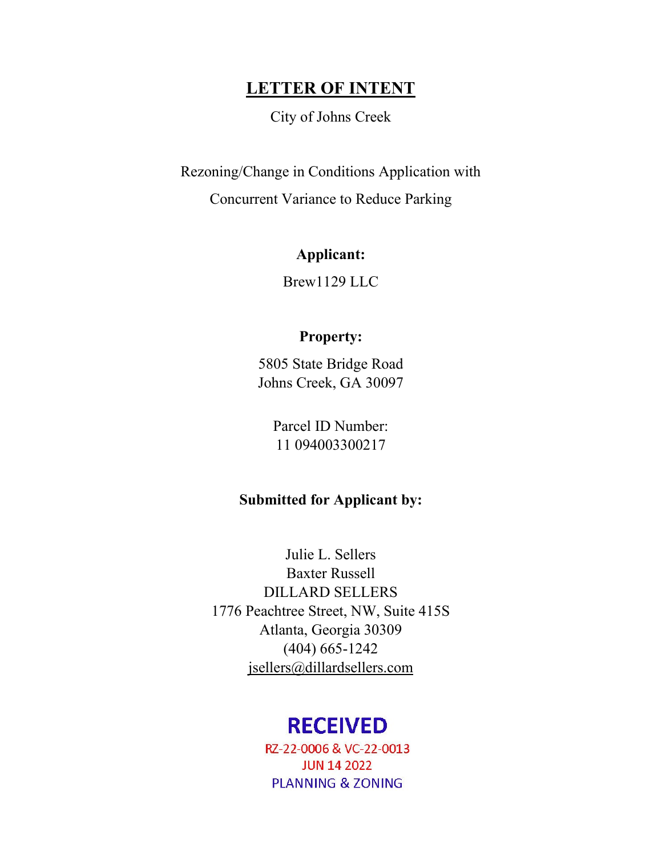# **LETTER OF INTENT**

City of Johns Creek

Rezoning/Change in Conditions Application with

Concurrent Variance to Reduce Parking

## **Applicant:**

Brew1129 LLC

## **Property:**

5805 State Bridge Road Johns Creek, GA 30097

> Parcel ID Number: 11 094003300217

# **Submitted for Applicant by:**

Julie L. Sellers Baxter Russell DILLARD SELLERS 1776 Peachtree Street, NW, Suite 415S Atlanta, Georgia 30309 (404) 665-1242 jsellers@dillardsellers.com

# **RECEIVED**

RZ-22-0006 & VC-22-0013 **JUN 14 2022 PLANNING & ZONING**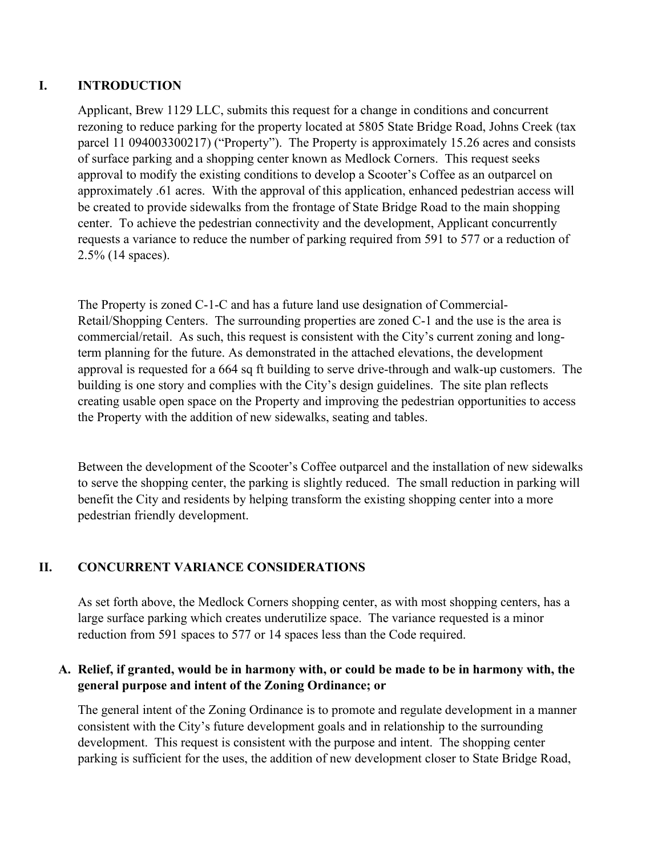## **I. INTRODUCTION**

Applicant, Brew 1129 LLC, submits this request for a change in conditions and concurrent rezoning to reduce parking for the property located at 5805 State Bridge Road, Johns Creek (tax parcel 11 094003300217) ("Property"). The Property is approximately 15.26 acres and consists of surface parking and a shopping center known as Medlock Corners. This request seeks approval to modify the existing conditions to develop a Scooter's Coffee as an outparcel on approximately .61 acres. With the approval of this application, enhanced pedestrian access will be created to provide sidewalks from the frontage of State Bridge Road to the main shopping center. To achieve the pedestrian connectivity and the development, Applicant concurrently requests a variance to reduce the number of parking required from 591 to 577 or a reduction of 2.5% (14 spaces).

The Property is zoned C-1-C and has a future land use designation of Commercial-Retail/Shopping Centers. The surrounding properties are zoned C-1 and the use is the area is commercial/retail. As such, this request is consistent with the City's current zoning and longterm planning for the future. As demonstrated in the attached elevations, the development approval is requested for a 664 sq ft building to serve drive-through and walk-up customers. The building is one story and complies with the City's design guidelines. The site plan reflects creating usable open space on the Property and improving the pedestrian opportunities to access the Property with the addition of new sidewalks, seating and tables.

Between the development of the Scooter's Coffee outparcel and the installation of new sidewalks to serve the shopping center, the parking is slightly reduced. The small reduction in parking will benefit the City and residents by helping transform the existing shopping center into a more pedestrian friendly development.

## **II. CONCURRENT VARIANCE CONSIDERATIONS**

As set forth above, the Medlock Corners shopping center, as with most shopping centers, has a large surface parking which creates underutilize space. The variance requested is a minor reduction from 591 spaces to 577 or 14 spaces less than the Code required.

### **A. Relief, if granted, would be in harmony with, or could be made to be in harmony with, the general purpose and intent of the Zoning Ordinance; or**

The general intent of the Zoning Ordinance is to promote and regulate development in a manner consistent with the City's future development goals and in relationship to the surrounding development. This request is consistent with the purpose and intent. The shopping center parking is sufficient for the uses, the addition of new development closer to State Bridge Road,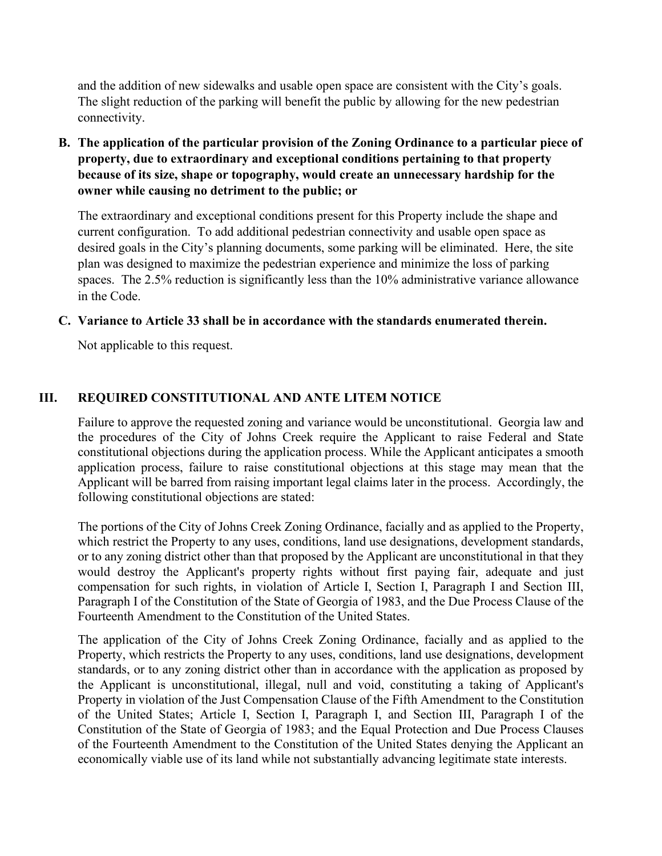and the addition of new sidewalks and usable open space are consistent with the City's goals. The slight reduction of the parking will benefit the public by allowing for the new pedestrian connectivity.

**B. The application of the particular provision of the Zoning Ordinance to a particular piece of property, due to extraordinary and exceptional conditions pertaining to that property because of its size, shape or topography, would create an unnecessary hardship for the owner while causing no detriment to the public; or** 

The extraordinary and exceptional conditions present for this Property include the shape and current configuration. To add additional pedestrian connectivity and usable open space as desired goals in the City's planning documents, some parking will be eliminated. Here, the site plan was designed to maximize the pedestrian experience and minimize the loss of parking spaces. The 2.5% reduction is significantly less than the 10% administrative variance allowance in the Code.

#### **C. Variance to Article 33 shall be in accordance with the standards enumerated therein.**

Not applicable to this request.

#### **III. REQUIRED CONSTITUTIONAL AND ANTE LITEM NOTICE**

Failure to approve the requested zoning and variance would be unconstitutional. Georgia law and the procedures of the City of Johns Creek require the Applicant to raise Federal and State constitutional objections during the application process. While the Applicant anticipates a smooth application process, failure to raise constitutional objections at this stage may mean that the Applicant will be barred from raising important legal claims later in the process. Accordingly, the following constitutional objections are stated:

The portions of the City of Johns Creek Zoning Ordinance, facially and as applied to the Property, which restrict the Property to any uses, conditions, land use designations, development standards, or to any zoning district other than that proposed by the Applicant are unconstitutional in that they would destroy the Applicant's property rights without first paying fair, adequate and just compensation for such rights, in violation of Article I, Section I, Paragraph I and Section III, Paragraph I of the Constitution of the State of Georgia of 1983, and the Due Process Clause of the Fourteenth Amendment to the Constitution of the United States.

The application of the City of Johns Creek Zoning Ordinance, facially and as applied to the Property, which restricts the Property to any uses, conditions, land use designations, development standards, or to any zoning district other than in accordance with the application as proposed by the Applicant is unconstitutional, illegal, null and void, constituting a taking of Applicant's Property in violation of the Just Compensation Clause of the Fifth Amendment to the Constitution of the United States; Article I, Section I, Paragraph I, and Section III, Paragraph I of the Constitution of the State of Georgia of 1983; and the Equal Protection and Due Process Clauses of the Fourteenth Amendment to the Constitution of the United States denying the Applicant an economically viable use of its land while not substantially advancing legitimate state interests.